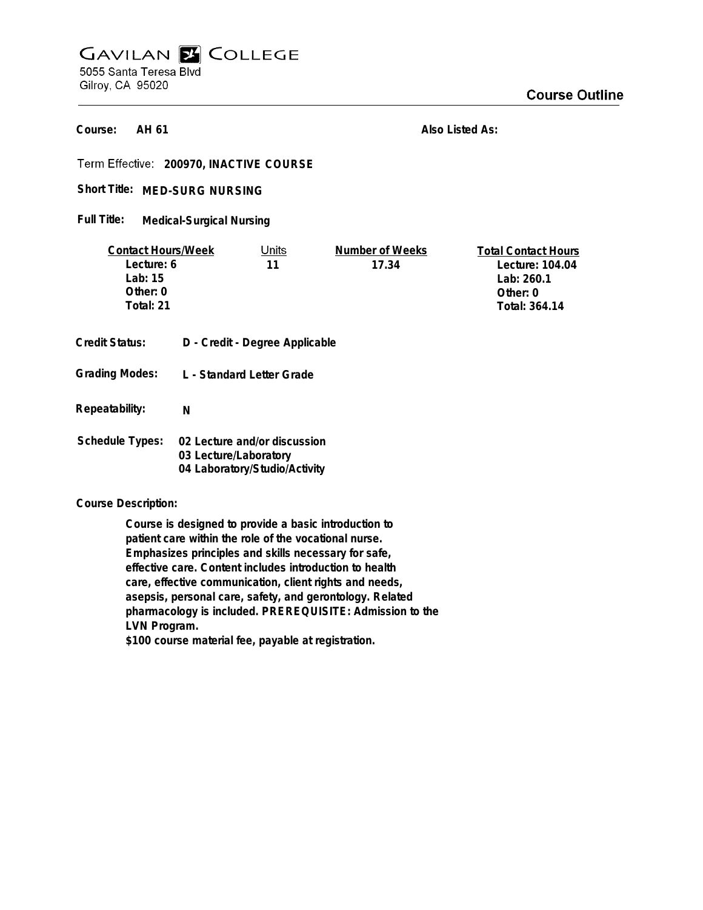## **GAVILAN E COLLEGE** 5055 Santa Teresa Blvd Gilroy, CA 95020

**AH 61 Course:**

**Also Listed As:**

**200970, INACTIVE COURSE**

Short Title: MED-SURG NURSING

**Medical-Surgical Nursing Full Title:**

| <b>Contact Hours/Week</b> |                       | Units                          | Number of Weeks | <b>Total Contact Hours</b> |
|---------------------------|-----------------------|--------------------------------|-----------------|----------------------------|
| Lecture: 6                |                       | 11                             | 17.34           | Lecture: 104.04            |
| Lab: $15$                 |                       |                                |                 | Lab: 260.1                 |
| Other: $0$                |                       |                                |                 | Other: 0                   |
| Total: 21                 |                       |                                |                 | Total: 364.14              |
|                           |                       |                                |                 |                            |
| <b>Credit Status:</b>     |                       | D - Credit - Degree Applicable |                 |                            |
| <b>Grading Modes:</b>     |                       | L - Standard Letter Grade      |                 |                            |
|                           |                       |                                |                 |                            |
| Repeatability:            | N                     |                                |                 |                            |
|                           |                       |                                |                 |                            |
| <b>Schedule Types:</b>    |                       | 02 Lecture and/or discussion   |                 |                            |
|                           | 03 Lecture/Laboratory |                                |                 |                            |
|                           |                       | 04 Laboratory/Studio/Activity  |                 |                            |

**Course Description:**

**Course is designed to provide a basic introduction to patient care within the role of the vocational nurse. Emphasizes principles and skills necessary for safe, effective care. Content includes introduction to health care, effective communication, client rights and needs, asepsis, personal care, safety, and gerontology. Related pharmacology is included. PREREQUISITE: Admission to the LVN Program.**

**\$100 course material fee, payable at registration.**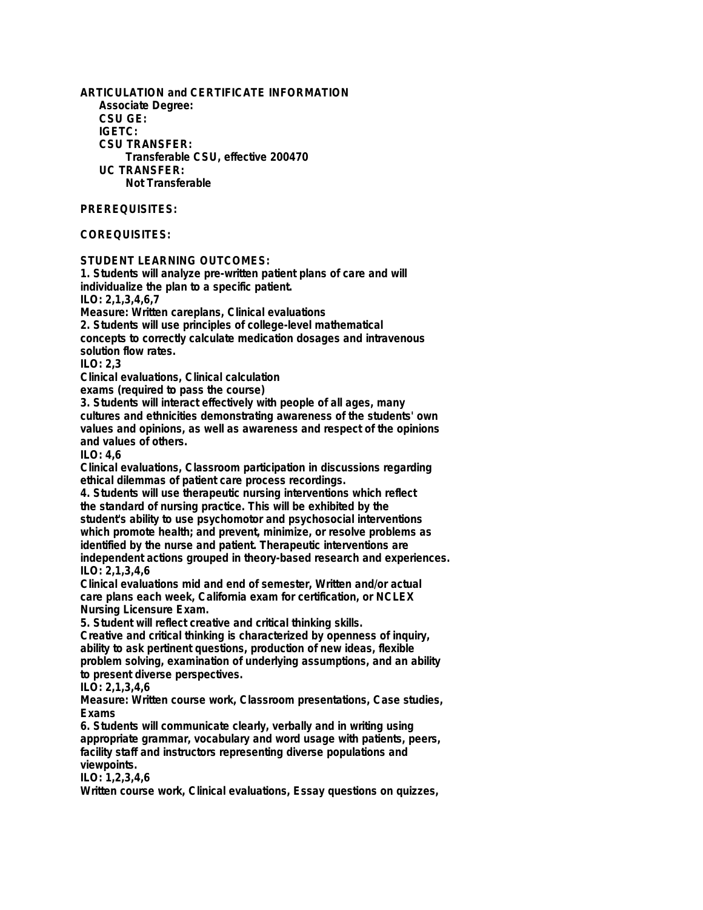**ARTICULATION and CERTIFICATE INFORMATION Associate Degree: CSU GE: IGETC: CSU TRANSFER: Transferable CSU, effective 200470 UC TRANSFER: Not Transferable PREREQUISITES: COREQUISITES: STUDENT LEARNING OUTCOMES:**

**individualize the plan to a specific patient. ILO: 2,1,3,4,6,7 Measure: Written careplans, Clinical evaluations 2. Students will use principles of college-level mathematical concepts to correctly calculate medication dosages and intravenous solution flow rates. ILO: 2,3 Clinical evaluations, Clinical calculation exams (required to pass the course) 3. Students will interact effectively with people of all ages, many cultures and ethnicities demonstrating awareness of the students' own values and opinions, as well as awareness and respect of the opinions and values of others. ILO: 4,6 Clinical evaluations, Classroom participation in discussions regarding ethical dilemmas of patient care process recordings. 4. Students will use therapeutic nursing interventions which reflect**

**1. Students will analyze pre-written patient plans of care and will**

**the standard of nursing practice. This will be exhibited by the student's ability to use psychomotor and psychosocial interventions which promote health; and prevent, minimize, or resolve problems as identified by the nurse and patient. Therapeutic interventions are independent actions grouped in theory-based research and experiences. ILO: 2,1,3,4,6**

**Clinical evaluations mid and end of semester, Written and/or actual care plans each week, California exam for certification, or NCLEX Nursing Licensure Exam.**

**5. Student will reflect creative and critical thinking skills.**

**Creative and critical thinking is characterized by openness of inquiry, ability to ask pertinent questions, production of new ideas, flexible problem solving, examination of underlying assumptions, and an ability to present diverse perspectives.**

**ILO: 2,1,3,4,6**

**Measure: Written course work, Classroom presentations, Case studies, Exams**

**6. Students will communicate clearly, verbally and in writing using appropriate grammar, vocabulary and word usage with patients, peers, facility staff and instructors representing diverse populations and viewpoints.**

**ILO: 1,2,3,4,6**

**Written course work, Clinical evaluations, Essay questions on quizzes,**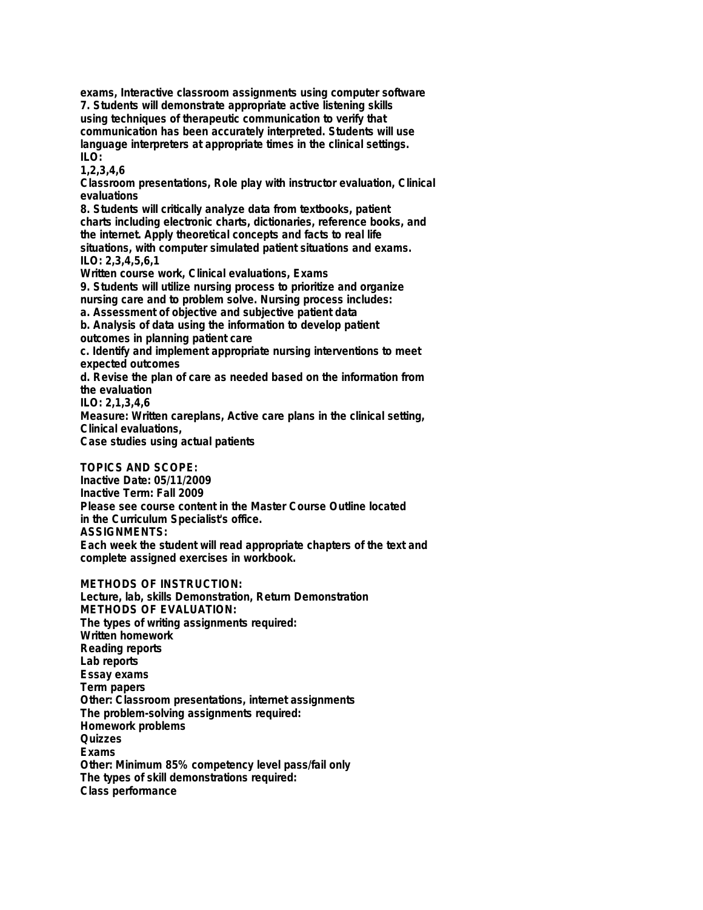**exams, Interactive classroom assignments using computer software 7. Students will demonstrate appropriate active listening skills using techniques of therapeutic communication to verify that communication has been accurately interpreted. Students will use language interpreters at appropriate times in the clinical settings. ILO:**

**1,2,3,4,6**

**Classroom presentations, Role play with instructor evaluation, Clinical evaluations**

**8. Students will critically analyze data from textbooks, patient charts including electronic charts, dictionaries, reference books, and the internet. Apply theoretical concepts and facts to real life situations, with computer simulated patient situations and exams. ILO: 2,3,4,5,6,1**

**Written course work, Clinical evaluations, Exams**

**9. Students will utilize nursing process to prioritize and organize nursing care and to problem solve. Nursing process includes:**

**a. Assessment of objective and subjective patient data**

**b. Analysis of data using the information to develop patient outcomes in planning patient care**

**c. Identify and implement appropriate nursing interventions to meet expected outcomes**

**d. Revise the plan of care as needed based on the information from the evaluation**

**ILO: 2,1,3,4,6**

**Measure: Written careplans, Active care plans in the clinical setting, Clinical evaluations,**

**Case studies using actual patients**

**TOPICS AND SCOPE:**

**Inactive Date: 05/11/2009 Inactive Term: Fall 2009 Please see course content in the Master Course Outline located in the Curriculum Specialist's office. ASSIGNMENTS: Each week the student will read appropriate chapters of the text and complete assigned exercises in workbook.**

**METHODS OF INSTRUCTION:**

**Lecture, lab, skills Demonstration, Return Demonstration METHODS OF EVALUATION: The types of writing assignments required: Written homework Reading reports Lab reports Essay exams Term papers Other: Classroom presentations, internet assignments The problem-solving assignments required: Homework problems Quizzes Exams Other: Minimum 85% competency level pass/fail only The types of skill demonstrations required: Class performance**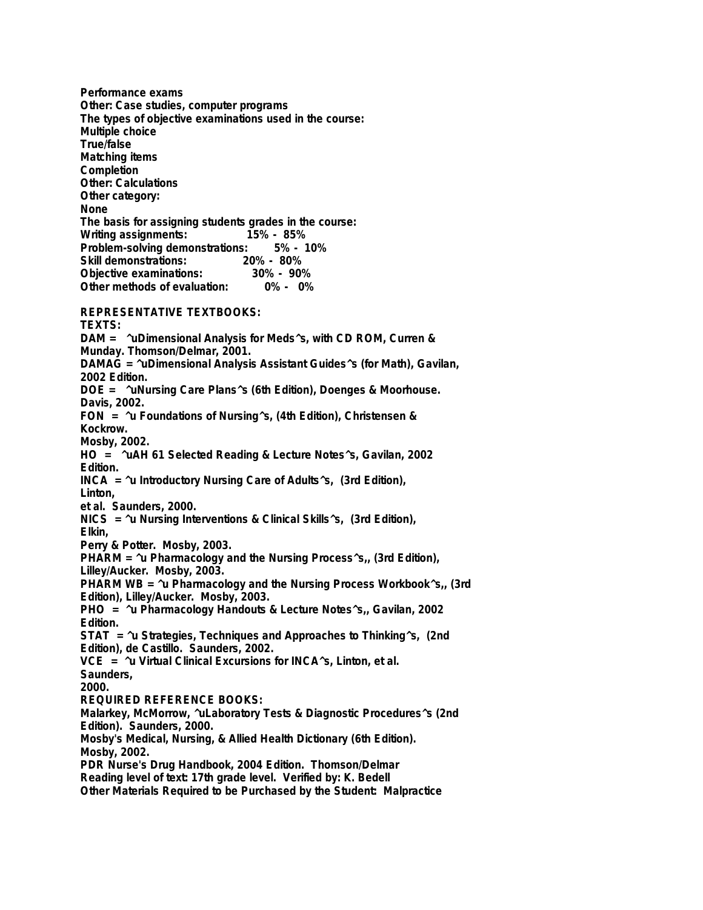**Performance exams Other: Case studies, computer programs The types of objective examinations used in the course: Multiple choice True/false Matching items Completion Other: Calculations Other category: None The basis for assigning students grades in the course: Writing assignments: Problem-solving demonstrations: 5% - 10% Skill demonstrations: 20% - 80% Objective examinations: 30% - 90% Other methods of evaluation: 0% - 0%**

**REPRESENTATIVE TEXTBOOKS:**

**TEXTS: DAM = ^uDimensional Analysis for Meds^s, with CD ROM, Curren & Munday. Thomson/Delmar, 2001. DAMAG = ^uDimensional Analysis Assistant Guides^s (for Math), Gavilan, 2002 Edition. DOE = ^uNursing Care Plans^s (6th Edition), Doenges & Moorhouse. Davis, 2002. FON = ^u Foundations of Nursing^s, (4th Edition), Christensen & Kockrow. Mosby, 2002. HO = ^uAH 61 Selected Reading & Lecture Notes^s, Gavilan, 2002 Edition. INCA = ^u Introductory Nursing Care of Adults^s, (3rd Edition), Linton, et al. Saunders, 2000. NICS = ^u Nursing Interventions & Clinical Skills^s, (3rd Edition), Elkin, Perry & Potter. Mosby, 2003. PHARM = ^u Pharmacology and the Nursing Process^s,, (3rd Edition), Lilley/Aucker. Mosby, 2003. PHARM WB = ^u Pharmacology and the Nursing Process Workbook^s,, (3rd Edition), Lilley/Aucker. Mosby, 2003. PHO = ^u Pharmacology Handouts & Lecture Notes^s,, Gavilan, 2002 Edition. STAT = ^u Strategies, Techniques and Approaches to Thinking^s, (2nd Edition), de Castillo. Saunders, 2002. VCE = ^u Virtual Clinical Excursions for INCA^s, Linton, et al. Saunders, 2000. REQUIRED REFERENCE BOOKS: Malarkey, McMorrow, ^uLaboratory Tests & Diagnostic Procedures^s (2nd Edition). Saunders, 2000. Mosby's Medical, Nursing, & Allied Health Dictionary (6th Edition). Mosby, 2002. PDR Nurse's Drug Handbook, 2004 Edition. Thomson/Delmar Reading level of text: 17th grade level. Verified by: K. Bedell**

**Other Materials Required to be Purchased by the Student: Malpractice**